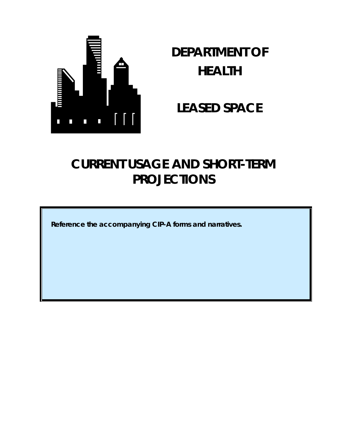

# **DEPARTMENT OF HEALTH**

## **LEASED SPACE**

## **CURRENT USAGE AND SHORT-TERM PROJECTIONS**

**Reference the accompanying CIP-A forms and narratives.**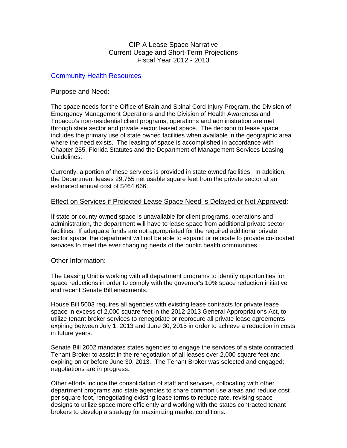#### Community Health Resources

#### Purpose and Need:

The space needs for the Office of Brain and Spinal Cord Injury Program, the Division of Emergency Management Operations and the Division of Health Awareness and Tobacco's non-residential client programs, operations and administration are met through state sector and private sector leased space. The decision to lease space includes the primary use of state owned facilities when available in the geographic area where the need exists. The leasing of space is accomplished in accordance with Chapter 255, Florida Statutes and the Department of Management Services Leasing Guidelines.

Currently, a portion of these services is provided in state owned facilities. In addition, the Department leases 29,755 net usable square feet from the private sector at an estimated annual cost of \$464,666.

#### Effect on Services if Projected Lease Space Need is Delayed or Not Approved:

If state or county owned space is unavailable for client programs, operations and administration, the department will have to lease space from additional private sector facilities. If adequate funds are not appropriated for the required additional private sector space, the department will not be able to expand or relocate to provide co-located services to meet the ever changing needs of the public health communities.

#### Other Information:

The Leasing Unit is working with all department programs to identify opportunities for space reductions in order to comply with the governor's 10% space reduction initiative and recent Senate Bill enactments.

House Bill 5003 requires all agencies with existing lease contracts for private lease space in excess of 2,000 square feet in the 2012-2013 General Appropriations Act, to utilize tenant broker services to renegotiate or reprocure all private lease agreements expiring between July 1, 2013 and June 30, 2015 in order to achieve a reduction in costs in future years.

Senate Bill 2002 mandates states agencies to engage the services of a state contracted Tenant Broker to assist in the renegotiation of all leases over 2,000 square feet and expiring on or before June 30, 2013. The Tenant Broker was selected and engaged; negotiations are in progress.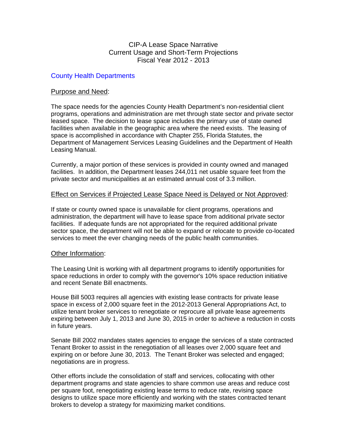#### County Health Departments

#### Purpose and Need:

The space needs for the agencies County Health Department's non-residential client programs, operations and administration are met through state sector and private sector leased space. The decision to lease space includes the primary use of state owned facilities when available in the geographic area where the need exists. The leasing of space is accomplished in accordance with Chapter 255, Florida Statutes, the Department of Management Services Leasing Guidelines and the Department of Health Leasing Manual.

Currently, a major portion of these services is provided in county owned and managed facilities. In addition, the Department leases 244,011 net usable square feet from the private sector and municipalities at an estimated annual cost of 3.3 million.

#### Effect on Services if Projected Lease Space Need is Delayed or Not Approved:

If state or county owned space is unavailable for client programs, operations and administration, the department will have to lease space from additional private sector facilities. If adequate funds are not appropriated for the required additional private sector space, the department will not be able to expand or relocate to provide co-located services to meet the ever changing needs of the public health communities.

#### Other Information:

The Leasing Unit is working with all department programs to identify opportunities for space reductions in order to comply with the governor's 10% space reduction initiative and recent Senate Bill enactments.

House Bill 5003 requires all agencies with existing lease contracts for private lease space in excess of 2,000 square feet in the 2012-2013 General Appropriations Act, to utilize tenant broker services to renegotiate or reprocure all private lease agreements expiring between July 1, 2013 and June 30, 2015 in order to achieve a reduction in costs in future years.

Senate Bill 2002 mandates states agencies to engage the services of a state contracted Tenant Broker to assist in the renegotiation of all leases over 2,000 square feet and expiring on or before June 30, 2013. The Tenant Broker was selected and engaged; negotiations are in progress.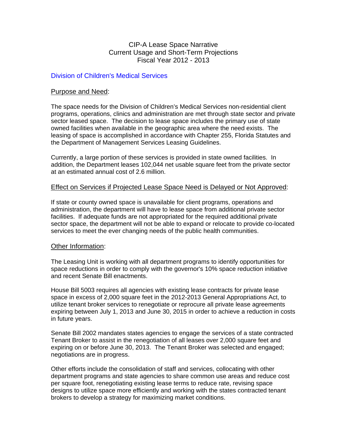#### Division of Children's Medical Services

#### Purpose and Need:

The space needs for the Division of Children's Medical Services non-residential client programs, operations, clinics and administration are met through state sector and private sector leased space. The decision to lease space includes the primary use of state owned facilities when available in the geographic area where the need exists. The leasing of space is accomplished in accordance with Chapter 255, Florida Statutes and the Department of Management Services Leasing Guidelines.

Currently, a large portion of these services is provided in state owned facilities. In addition, the Department leases 102,044 net usable square feet from the private sector at an estimated annual cost of 2.6 million.

#### Effect on Services if Projected Lease Space Need is Delayed or Not Approved:

If state or county owned space is unavailable for client programs, operations and administration, the department will have to lease space from additional private sector facilities. If adequate funds are not appropriated for the required additional private sector space, the department will not be able to expand or relocate to provide co-located services to meet the ever changing needs of the public health communities.

#### Other Information:

The Leasing Unit is working with all department programs to identify opportunities for space reductions in order to comply with the governor's 10% space reduction initiative and recent Senate Bill enactments.

House Bill 5003 requires all agencies with existing lease contracts for private lease space in excess of 2,000 square feet in the 2012-2013 General Appropriations Act, to utilize tenant broker services to renegotiate or reprocure all private lease agreements expiring between July 1, 2013 and June 30, 2015 in order to achieve a reduction in costs in future years.

Senate Bill 2002 mandates states agencies to engage the services of a state contracted Tenant Broker to assist in the renegotiation of all leases over 2,000 square feet and expiring on or before June 30, 2013. The Tenant Broker was selected and engaged; negotiations are in progress.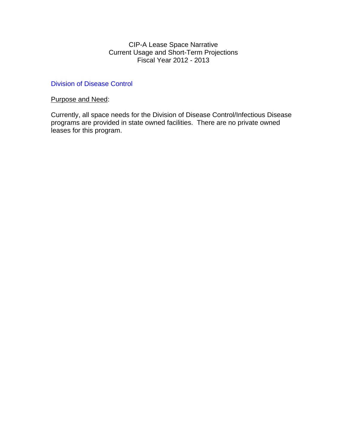#### Division of Disease Control

#### Purpose and Need:

Currently, all space needs for the Division of Disease Control/Infectious Disease programs are provided in state owned facilities. There are no private owned leases for this program.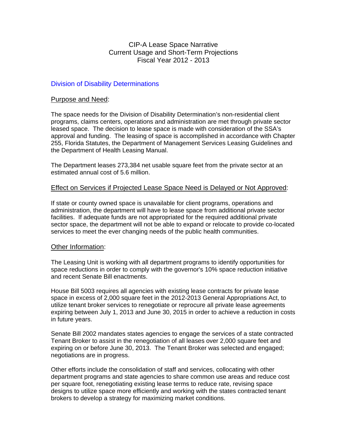#### Division of Disability Determinations

#### Purpose and Need:

The space needs for the Division of Disability Determination's non-residential client programs, claims centers, operations and administration are met through private sector leased space. The decision to lease space is made with consideration of the SSA's approval and funding. The leasing of space is accomplished in accordance with Chapter 255, Florida Statutes, the Department of Management Services Leasing Guidelines and the Department of Health Leasing Manual.

The Department leases 273,384 net usable square feet from the private sector at an estimated annual cost of 5.6 million.

#### Effect on Services if Projected Lease Space Need is Delayed or Not Approved:

If state or county owned space is unavailable for client programs, operations and administration, the department will have to lease space from additional private sector facilities. If adequate funds are not appropriated for the required additional private sector space, the department will not be able to expand or relocate to provide co-located services to meet the ever changing needs of the public health communities.

#### Other Information:

The Leasing Unit is working with all department programs to identify opportunities for space reductions in order to comply with the governor's 10% space reduction initiative and recent Senate Bill enactments.

House Bill 5003 requires all agencies with existing lease contracts for private lease space in excess of 2,000 square feet in the 2012-2013 General Appropriations Act, to utilize tenant broker services to renegotiate or reprocure all private lease agreements expiring between July 1, 2013 and June 30, 2015 in order to achieve a reduction in costs in future years.

Senate Bill 2002 mandates states agencies to engage the services of a state contracted Tenant Broker to assist in the renegotiation of all leases over 2,000 square feet and expiring on or before June 30, 2013. The Tenant Broker was selected and engaged; negotiations are in progress.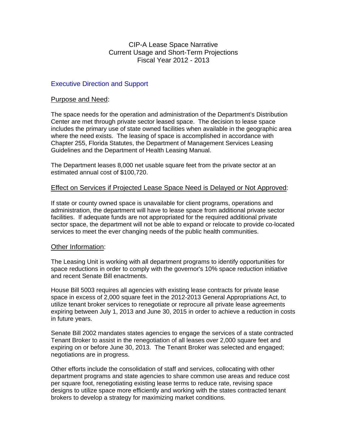#### Executive Direction and Support

#### Purpose and Need:

The space needs for the operation and administration of the Department's Distribution Center are met through private sector leased space. The decision to lease space includes the primary use of state owned facilities when available in the geographic area where the need exists. The leasing of space is accomplished in accordance with Chapter 255, Florida Statutes, the Department of Management Services Leasing Guidelines and the Department of Health Leasing Manual.

The Department leases 8,000 net usable square feet from the private sector at an estimated annual cost of \$100,720.

#### Effect on Services if Projected Lease Space Need is Delayed or Not Approved:

If state or county owned space is unavailable for client programs, operations and administration, the department will have to lease space from additional private sector facilities. If adequate funds are not appropriated for the required additional private sector space, the department will not be able to expand or relocate to provide co-located services to meet the ever changing needs of the public health communities.

#### Other Information:

The Leasing Unit is working with all department programs to identify opportunities for space reductions in order to comply with the governor's 10% space reduction initiative and recent Senate Bill enactments.

House Bill 5003 requires all agencies with existing lease contracts for private lease space in excess of 2,000 square feet in the 2012-2013 General Appropriations Act, to utilize tenant broker services to renegotiate or reprocure all private lease agreements expiring between July 1, 2013 and June 30, 2015 in order to achieve a reduction in costs in future years.

Senate Bill 2002 mandates states agencies to engage the services of a state contracted Tenant Broker to assist in the renegotiation of all leases over 2,000 square feet and expiring on or before June 30, 2013. The Tenant Broker was selected and engaged; negotiations are in progress.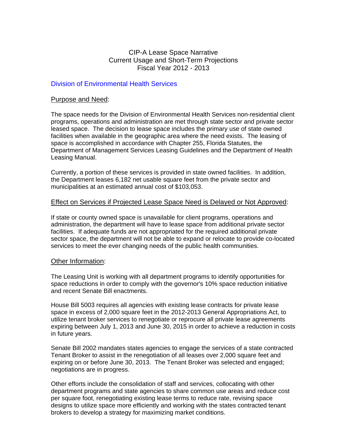#### Division of Environmental Health Services

#### Purpose and Need:

The space needs for the Division of Environmental Health Services non-residential client programs, operations and administration are met through state sector and private sector leased space. The decision to lease space includes the primary use of state owned facilities when available in the geographic area where the need exists. The leasing of space is accomplished in accordance with Chapter 255, Florida Statutes, the Department of Management Services Leasing Guidelines and the Department of Health Leasing Manual.

Currently, a portion of these services is provided in state owned facilities. In addition, the Department leases 6,182 net usable square feet from the private sector and municipalities at an estimated annual cost of \$103,053.

#### Effect on Services if Projected Lease Space Need is Delayed or Not Approved:

If state or county owned space is unavailable for client programs, operations and administration, the department will have to lease space from additional private sector facilities. If adequate funds are not appropriated for the required additional private sector space, the department will not be able to expand or relocate to provide co-located services to meet the ever changing needs of the public health communities.

#### Other Information:

The Leasing Unit is working with all department programs to identify opportunities for space reductions in order to comply with the governor's 10% space reduction initiative and recent Senate Bill enactments.

House Bill 5003 requires all agencies with existing lease contracts for private lease space in excess of 2,000 square feet in the 2012-2013 General Appropriations Act, to utilize tenant broker services to renegotiate or reprocure all private lease agreements expiring between July 1, 2013 and June 30, 2015 in order to achieve a reduction in costs in future years.

Senate Bill 2002 mandates states agencies to engage the services of a state contracted Tenant Broker to assist in the renegotiation of all leases over 2,000 square feet and expiring on or before June 30, 2013. The Tenant Broker was selected and engaged; negotiations are in progress.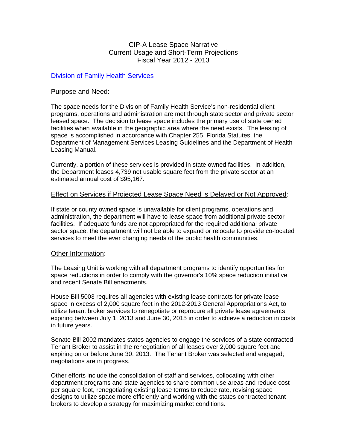#### Division of Family Health Services

#### Purpose and Need:

The space needs for the Division of Family Health Service's non-residential client programs, operations and administration are met through state sector and private sector leased space. The decision to lease space includes the primary use of state owned facilities when available in the geographic area where the need exists. The leasing of space is accomplished in accordance with Chapter 255, Florida Statutes, the Department of Management Services Leasing Guidelines and the Department of Health Leasing Manual.

Currently, a portion of these services is provided in state owned facilities. In addition, the Department leases 4,739 net usable square feet from the private sector at an estimated annual cost of \$95,167.

#### Effect on Services if Projected Lease Space Need is Delayed or Not Approved:

If state or county owned space is unavailable for client programs, operations and administration, the department will have to lease space from additional private sector facilities. If adequate funds are not appropriated for the required additional private sector space, the department will not be able to expand or relocate to provide co-located services to meet the ever changing needs of the public health communities.

#### Other Information:

The Leasing Unit is working with all department programs to identify opportunities for space reductions in order to comply with the governor's 10% space reduction initiative and recent Senate Bill enactments.

House Bill 5003 requires all agencies with existing lease contracts for private lease space in excess of 2,000 square feet in the 2012-2013 General Appropriations Act, to utilize tenant broker services to renegotiate or reprocure all private lease agreements expiring between July 1, 2013 and June 30, 2015 in order to achieve a reduction in costs in future years.

Senate Bill 2002 mandates states agencies to engage the services of a state contracted Tenant Broker to assist in the renegotiation of all leases over 2,000 square feet and expiring on or before June 30, 2013. The Tenant Broker was selected and engaged; negotiations are in progress.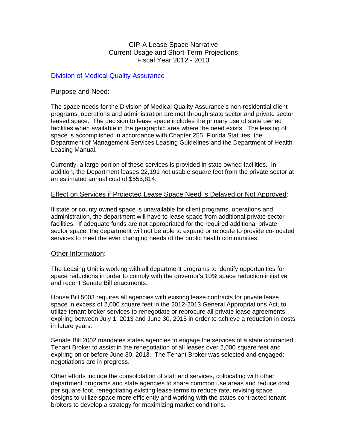#### Division of Medical Quality Assurance

#### Purpose and Need:

The space needs for the Division of Medical Quality Assurance's non-residential client programs, operations and administration are met through state sector and private sector leased space. The decision to lease space includes the primary use of state owned facilities when available in the geographic area where the need exists. The leasing of space is accomplished in accordance with Chapter 255, Florida Statutes, the Department of Management Services Leasing Guidelines and the Department of Health Leasing Manual.

Currently, a large portion of these services is provided in state owned facilities. In addition, the Department leases 22,191 net usable square feet from the private sector at an estimated annual cost of \$555,814.

#### Effect on Services if Projected Lease Space Need is Delayed or Not Approved:

If state or county owned space is unavailable for client programs, operations and administration, the department will have to lease space from additional private sector facilities. If adequate funds are not appropriated for the required additional private sector space, the department will not be able to expand or relocate to provide co-located services to meet the ever changing needs of the public health communities.

#### Other Information:

The Leasing Unit is working with all department programs to identify opportunities for space reductions in order to comply with the governor's 10% space reduction initiative and recent Senate Bill enactments.

House Bill 5003 requires all agencies with existing lease contracts for private lease space in excess of 2,000 square feet in the 2012-2013 General Appropriations Act, to utilize tenant broker services to renegotiate or reprocure all private lease agreements expiring between July 1, 2013 and June 30, 2015 in order to achieve a reduction in costs in future years.

Senate Bill 2002 mandates states agencies to engage the services of a state contracted Tenant Broker to assist in the renegotiation of all leases over 2,000 square feet and expiring on or before June 30, 2013. The Tenant Broker was selected and engaged; negotiations are in progress.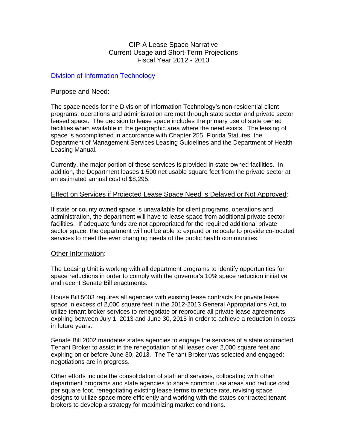#### Division of Information Technology

#### Purpose and Need:

The space needs for the Division of Information Technology's non-residential client programs, operations and administration are met through state sector and private sector leased space. The decision to lease space includes the primary use of state owned facilities when available in the geographic area where the need exists. The leasing of space is accomplished in accordance with Chapter 255, Florida Statutes, the Department of Management Services Leasing Guidelines and the Department of Health Leasing Manual.

Currently, the major portion of these services is provided in state owned facilities. In addition, the Department leases 1,500 net usable square feet from the private sector at an estimated annual cost of \$8,295.

#### Effect on Services if Projected Lease Space Need is Delayed or Not Approved:

If state or county owned space is unavailable for client programs, operations and administration, the department will have to lease space from additional private sector facilities. If adequate funds are not appropriated for the required additional private sector space, the department will not be able to expand or relocate to provide co-located services to meet the ever changing needs of the public health communities.

#### Other Information:

The Leasing Unit is working with all department programs to identify opportunities for space reductions in order to comply with the governor's 10% space reduction initiative and recent Senate Bill enactments.

House Bill 5003 requires all agencies with existing lease contracts for private lease space in excess of 2,000 square feet in the 2012-2013 General Appropriations Act, to utilize tenant broker services to renegotiate or reprocure all private lease agreements expiring between July 1, 2013 and June 30, 2015 in order to achieve a reduction in costs in future years.

Senate Bill 2002 mandates states agencies to engage the services of a state contracted Tenant Broker to assist in the renegotiation of all leases over 2,000 square feet and expiring on or before June 30, 2013. The Tenant Broker was selected and engaged; negotiations are in progress.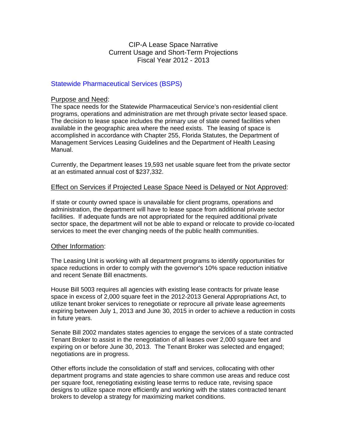#### Statewide Pharmaceutical Services (BSPS)

#### Purpose and Need:

The space needs for the Statewide Pharmaceutical Service's non-residential client programs, operations and administration are met through private sector leased space. The decision to lease space includes the primary use of state owned facilities when available in the geographic area where the need exists. The leasing of space is accomplished in accordance with Chapter 255, Florida Statutes, the Department of Management Services Leasing Guidelines and the Department of Health Leasing Manual.

Currently, the Department leases 19,593 net usable square feet from the private sector at an estimated annual cost of \$237,332.

#### Effect on Services if Projected Lease Space Need is Delayed or Not Approved:

If state or county owned space is unavailable for client programs, operations and administration, the department will have to lease space from additional private sector facilities. If adequate funds are not appropriated for the required additional private sector space, the department will not be able to expand or relocate to provide co-located services to meet the ever changing needs of the public health communities.

#### Other Information:

The Leasing Unit is working with all department programs to identify opportunities for space reductions in order to comply with the governor's 10% space reduction initiative and recent Senate Bill enactments.

House Bill 5003 requires all agencies with existing lease contracts for private lease space in excess of 2,000 square feet in the 2012-2013 General Appropriations Act, to utilize tenant broker services to renegotiate or reprocure all private lease agreements expiring between July 1, 2013 and June 30, 2015 in order to achieve a reduction in costs in future years.

Senate Bill 2002 mandates states agencies to engage the services of a state contracted Tenant Broker to assist in the renegotiation of all leases over 2,000 square feet and expiring on or before June 30, 2013. The Tenant Broker was selected and engaged; negotiations are in progress.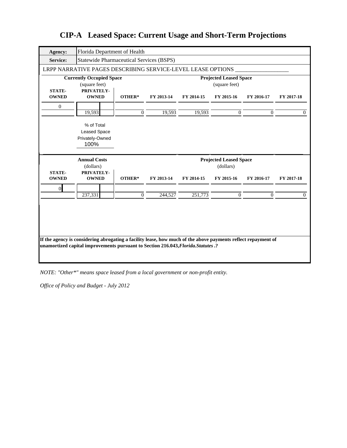| <b>Agency:</b>                | Florida Department of Health                                                                                                                                                                        |                |            |            |                                                |            |            |
|-------------------------------|-----------------------------------------------------------------------------------------------------------------------------------------------------------------------------------------------------|----------------|------------|------------|------------------------------------------------|------------|------------|
| <b>Service:</b>               | <b>Statewide Pharmaceutical Services (BSPS)</b>                                                                                                                                                     |                |            |            |                                                |            |            |
|                               | LRPP NARRATIVE PAGES DESCRIBING SERVICE-LEVEL LEASE OPTIONS                                                                                                                                         |                |            |            |                                                |            |            |
|                               | <b>Currently Occupied Space</b><br>(square feet)                                                                                                                                                    |                |            |            | <b>Projected Leased Space</b><br>(square feet) |            |            |
| <b>STATE-</b>                 | PRIVATELY-                                                                                                                                                                                          |                |            |            |                                                |            |            |
| <b>OWNED</b>                  | <b>OWNED</b>                                                                                                                                                                                        | OTHER*         | FY 2013-14 | FY 2014-15 | FY 2015-16                                     | FY 2016-17 | FY 2017-18 |
| $\theta$                      |                                                                                                                                                                                                     |                |            |            |                                                |            |            |
|                               | 19,593                                                                                                                                                                                              | $\overline{0}$ | 19,593     | 19,593     | $\Omega$                                       | $\Omega$   | $\Omega$   |
|                               | % of Total                                                                                                                                                                                          |                |            |            |                                                |            |            |
|                               | <b>Leased Space</b>                                                                                                                                                                                 |                |            |            |                                                |            |            |
|                               | Privately-Owned                                                                                                                                                                                     |                |            |            |                                                |            |            |
|                               | 100%                                                                                                                                                                                                |                |            |            |                                                |            |            |
|                               |                                                                                                                                                                                                     |                |            |            | <b>Projected Leased Space</b>                  |            |            |
|                               | <b>Annual Costs</b>                                                                                                                                                                                 |                |            |            |                                                |            |            |
|                               | (dollars)                                                                                                                                                                                           |                |            |            | (dollars)                                      |            |            |
| <b>STATE-</b><br><b>OWNED</b> | PRIVATELY-<br><b>OWNED</b>                                                                                                                                                                          | OTHER*         | FY 2013-14 | FY 2014-15 | FY 2015-16                                     | FY 2016-17 | FY 2017-18 |
|                               |                                                                                                                                                                                                     |                |            |            |                                                |            |            |
| $\mathbf{0}$                  | 237,331                                                                                                                                                                                             | $\Omega$       | 244,527    | 251,773    | $\Omega$                                       | $\Omega$   | 0          |
|                               |                                                                                                                                                                                                     |                |            |            |                                                |            |            |
|                               |                                                                                                                                                                                                     |                |            |            |                                                |            |            |
|                               |                                                                                                                                                                                                     |                |            |            |                                                |            |            |
|                               |                                                                                                                                                                                                     |                |            |            |                                                |            |            |
|                               |                                                                                                                                                                                                     |                |            |            |                                                |            |            |
|                               | If the agency is considering abrogating a facility lease, how much of the above payments reflect repayment of<br>unamortized capital improvements pursuant to Section 216.043, Florida. Statutes .? |                |            |            |                                                |            |            |
|                               |                                                                                                                                                                                                     |                |            |            |                                                |            |            |

*NOTE: "Other\*" means space leased from a local government or non-profit entity.*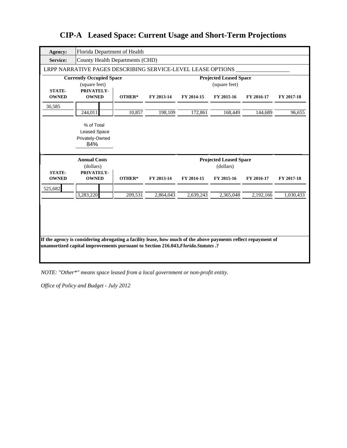| <b>Agency:</b>                | Florida Department of Health                                                                                                                                                                        |         |            |            |                                                |            |            |
|-------------------------------|-----------------------------------------------------------------------------------------------------------------------------------------------------------------------------------------------------|---------|------------|------------|------------------------------------------------|------------|------------|
| <b>Service:</b>               | <b>County Health Departments (CHD)</b>                                                                                                                                                              |         |            |            |                                                |            |            |
|                               | LRPP NARRATIVE PAGES DESCRIBING SERVICE-LEVEL LEASE OPTIONS                                                                                                                                         |         |            |            |                                                |            |            |
| <b>STATE-</b>                 | <b>Currently Occupied Space</b><br>(square feet)<br>PRIVATELY-                                                                                                                                      |         |            |            | <b>Projected Leased Space</b><br>(square feet) |            |            |
| <b>OWNED</b>                  | <b>OWNED</b>                                                                                                                                                                                        | OTHER*  | FY 2013-14 | FY 2014-15 | FY 2015-16                                     | FY 2016-17 | FY 2017-18 |
| 36,585                        |                                                                                                                                                                                                     |         |            |            |                                                |            |            |
|                               | 244,011                                                                                                                                                                                             | 10,857  | 198,109    | 172,861    | 168,449                                        | 144,689    | 96,655     |
|                               | % of Total<br><b>Leased Space</b><br>Privately-Owned<br>84%                                                                                                                                         |         |            |            |                                                |            |            |
|                               |                                                                                                                                                                                                     |         |            |            |                                                |            |            |
|                               | <b>Annual Costs</b>                                                                                                                                                                                 |         |            |            | <b>Projected Leased Space</b>                  |            |            |
|                               | (dollars)                                                                                                                                                                                           |         |            |            | (dollars)                                      |            |            |
| <b>STATE-</b><br><b>OWNED</b> | PRIVATELY-<br><b>OWNED</b>                                                                                                                                                                          | OTHER*  | FY 2013-14 | FY 2014-15 | FY 2015-16                                     | FY 2016-17 | FY 2017-18 |
| 525,682                       |                                                                                                                                                                                                     |         |            |            |                                                |            |            |
|                               | 3,283,220                                                                                                                                                                                           | 209,531 | 2,864,043  | 2,639,243  | 2,365,048                                      | 2,192,166  | 1,030,433  |
|                               | If the agency is considering abrogating a facility lease, how much of the above payments reflect repayment of<br>unamortized capital improvements pursuant to Section 216.043, Florida. Statutes .? |         |            |            |                                                |            |            |

*NOTE: "Other\*" means space leased from a local government or non-profit entity.*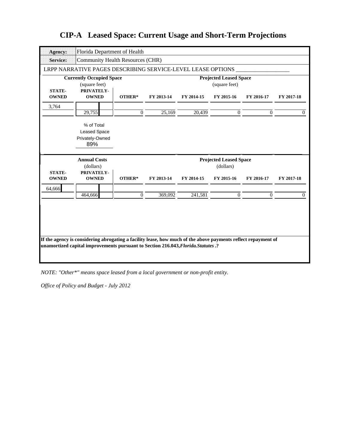| <b>Agency:</b>                | Florida Department of Health                                                                                  |              |            |            |                               |                |              |
|-------------------------------|---------------------------------------------------------------------------------------------------------------|--------------|------------|------------|-------------------------------|----------------|--------------|
| <b>Service:</b>               | <b>Community Health Resources (CHR)</b>                                                                       |              |            |            |                               |                |              |
|                               | LRPP NARRATIVE PAGES DESCRIBING SERVICE-LEVEL LEASE OPTIONS                                                   |              |            |            |                               |                |              |
|                               | <b>Currently Occupied Space</b>                                                                               |              |            |            | <b>Projected Leased Space</b> |                |              |
| <b>STATE-</b>                 | (square feet)<br>PRIVATELY-                                                                                   |              |            |            | (square feet)                 |                |              |
| <b>OWNED</b>                  | <b>OWNED</b>                                                                                                  | OTHER*       | FY 2013-14 | FY 2014-15 | FY 2015-16                    | FY 2016-17     | FY 2017-18   |
| 3,764                         |                                                                                                               |              |            |            |                               |                |              |
|                               | 29,755                                                                                                        | $\mathbf{0}$ | 25,169     | 20,439     | $\mathbf{0}$                  | $\overline{0}$ | $\mathbf{0}$ |
|                               | % of Total                                                                                                    |              |            |            |                               |                |              |
|                               | <b>Leased Space</b>                                                                                           |              |            |            |                               |                |              |
|                               | Privately-Owned<br>89%                                                                                        |              |            |            |                               |                |              |
|                               |                                                                                                               |              |            |            |                               |                |              |
|                               |                                                                                                               |              |            |            |                               |                |              |
|                               | <b>Annual Costs</b>                                                                                           |              |            |            | <b>Projected Leased Space</b> |                |              |
|                               | (dollars)                                                                                                     |              |            |            | (dollars)                     |                |              |
| <b>STATE-</b><br><b>OWNED</b> | PRIVATELY-<br><b>OWNED</b>                                                                                    | OTHER*       | FY 2013-14 | FY 2014-15 | FY 2015-16                    | FY 2016-17     | FY 2017-18   |
|                               |                                                                                                               |              |            |            |                               |                |              |
| 64,666                        | 464,666                                                                                                       | $\mathbf{0}$ | 369,092    | 241,581    | $\mathbf{0}$                  | $\Omega$       | $\Omega$     |
|                               |                                                                                                               |              |            |            |                               |                |              |
|                               |                                                                                                               |              |            |            |                               |                |              |
|                               |                                                                                                               |              |            |            |                               |                |              |
|                               |                                                                                                               |              |            |            |                               |                |              |
|                               | If the agency is considering abrogating a facility lease, how much of the above payments reflect repayment of |              |            |            |                               |                |              |
|                               | unamortized capital improvements pursuant to Section 216.043, Florida. Statutes .?                            |              |            |            |                               |                |              |

*NOTE: "Other\*" means space leased from a local government or non-profit entity.*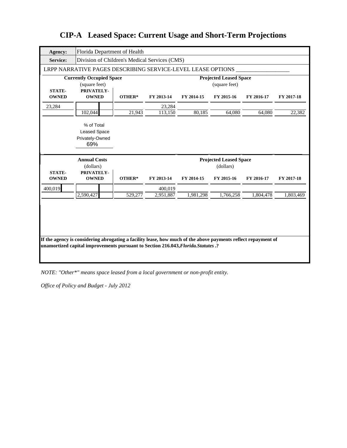| <b>Agency:</b>                | Florida Department of Health                                                                                  |         |            |            |                                                |            |            |
|-------------------------------|---------------------------------------------------------------------------------------------------------------|---------|------------|------------|------------------------------------------------|------------|------------|
| Service:                      | Division of Children's Medical Services (CMS)                                                                 |         |            |            |                                                |            |            |
|                               | LRPP NARRATIVE PAGES DESCRIBING SERVICE-LEVEL LEASE OPTIONS                                                   |         |            |            |                                                |            |            |
| <b>STATE-</b>                 | <b>Currently Occupied Space</b><br>(square feet)<br>PRIVATELY-                                                |         |            |            | <b>Projected Leased Space</b><br>(square feet) |            |            |
| <b>OWNED</b>                  | <b>OWNED</b>                                                                                                  | OTHER*  | FY 2013-14 | FY 2014-15 | FY 2015-16                                     | FY 2016-17 | FY 2017-18 |
| 23,284                        |                                                                                                               |         | 23,284     |            |                                                |            |            |
|                               | 102,044                                                                                                       | 21,943  | 113,150    | 80,185     | 64,080                                         | 64,080     | 22,382     |
|                               | % of Total                                                                                                    |         |            |            |                                                |            |            |
|                               | <b>Leased Space</b>                                                                                           |         |            |            |                                                |            |            |
|                               | Privately-Owned<br>69%                                                                                        |         |            |            |                                                |            |            |
|                               |                                                                                                               |         |            |            |                                                |            |            |
|                               | <b>Annual Costs</b>                                                                                           |         |            |            | <b>Projected Leased Space</b>                  |            |            |
|                               | (dollars)                                                                                                     |         |            |            | (dollars)                                      |            |            |
| <b>STATE-</b><br><b>OWNED</b> | PRIVATELY-<br><b>OWNED</b>                                                                                    | OTHER*  | FY 2013-14 | FY 2014-15 | FY 2015-16                                     | FY 2016-17 | FY 2017-18 |
| 400,019                       |                                                                                                               |         | 400,019    |            |                                                |            |            |
|                               | 2,590,427                                                                                                     | 529,277 | 2,951,887  | 1,981,298  | 1,766,258                                      | 1,804,478  | 1,803,469  |
|                               | If the agency is considering abrogating a facility lease, how much of the above payments reflect repayment of |         |            |            |                                                |            |            |

*NOTE: "Other\*" means space leased from a local government or non-profit entity.*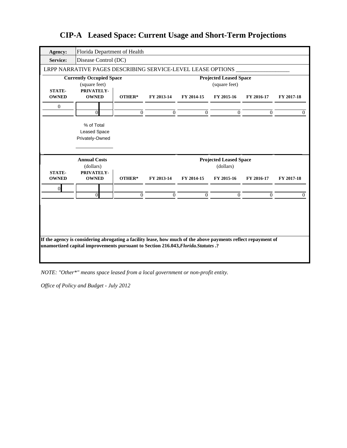| Agency:                       | Florida Department of Health                                                                                  |                |                |              |                               |            |            |
|-------------------------------|---------------------------------------------------------------------------------------------------------------|----------------|----------------|--------------|-------------------------------|------------|------------|
| Service:                      | Disease Control (DC)                                                                                          |                |                |              |                               |            |            |
|                               | LRPP NARRATIVE PAGES DESCRIBING SERVICE-LEVEL LEASE OPTIONS                                                   |                |                |              |                               |            |            |
|                               | <b>Currently Occupied Space</b>                                                                               |                |                |              | <b>Projected Leased Space</b> |            |            |
| <b>STATE-</b>                 | (square feet)<br>PRIVATELY-                                                                                   |                |                |              | (square feet)                 |            |            |
| <b>OWNED</b>                  | <b>OWNED</b>                                                                                                  | OTHER*         | FY 2013-14     | FY 2014-15   | FY 2015-16                    | FY 2016-17 | FY 2017-18 |
| $\mathbf{0}$                  |                                                                                                               |                |                |              |                               |            |            |
|                               | $\Omega$                                                                                                      | $\mathbf{0}$   | $\Omega$       | $\mathbf{0}$ | $\Omega$                      | $\Omega$   | $\Omega$   |
|                               | % of Total                                                                                                    |                |                |              |                               |            |            |
|                               | <b>Leased Space</b>                                                                                           |                |                |              |                               |            |            |
|                               | Privately-Owned                                                                                               |                |                |              |                               |            |            |
|                               |                                                                                                               |                |                |              |                               |            |            |
|                               | <b>Annual Costs</b>                                                                                           |                |                |              | <b>Projected Leased Space</b> |            |            |
|                               | (dollars)                                                                                                     |                |                |              | (dollars)                     |            |            |
| <b>STATE-</b><br><b>OWNED</b> | PRIVATELY-<br><b>OWNED</b>                                                                                    | OTHER*         | FY 2013-14     | FY 2014-15   | FY 2015-16                    | FY 2016-17 | FY 2017-18 |
| $\overline{0}$                |                                                                                                               |                |                |              |                               |            |            |
|                               | $\theta$                                                                                                      | $\overline{0}$ | $\overline{0}$ | $\mathbf{0}$ | $\mathbf{0}$                  | $\Omega$   | $\Omega$   |
|                               |                                                                                                               |                |                |              |                               |            |            |
|                               |                                                                                                               |                |                |              |                               |            |            |
|                               |                                                                                                               |                |                |              |                               |            |            |
|                               |                                                                                                               |                |                |              |                               |            |            |
|                               | If the agency is considering abrogating a facility lease, how much of the above payments reflect repayment of |                |                |              |                               |            |            |
|                               |                                                                                                               |                |                |              |                               |            |            |
|                               | unamortized capital improvements pursuant to Section 216.043, Florida. Statutes .?                            |                |                |              |                               |            |            |
|                               |                                                                                                               |                |                |              |                               |            |            |

*NOTE: "Other\*" means space leased from a local government or non-profit entity.*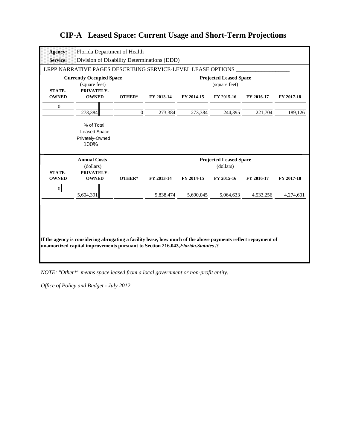| <b>Agency:</b>                | Florida Department of Health                                                                                  |                |            |            |                                                |            |            |
|-------------------------------|---------------------------------------------------------------------------------------------------------------|----------------|------------|------------|------------------------------------------------|------------|------------|
| Service:                      | Division of Disability Determinations (DDD)                                                                   |                |            |            |                                                |            |            |
|                               | LRPP NARRATIVE PAGES DESCRIBING SERVICE-LEVEL LEASE OPTIONS                                                   |                |            |            |                                                |            |            |
| <b>STATE-</b>                 | <b>Currently Occupied Space</b><br>(square feet)<br>PRIVATELY-                                                |                |            |            | <b>Projected Leased Space</b><br>(square feet) |            |            |
| <b>OWNED</b>                  | <b>OWNED</b>                                                                                                  | OTHER*         | FY 2013-14 | FY 2014-15 | FY 2015-16                                     | FY 2016-17 | FY 2017-18 |
| $\boldsymbol{0}$              |                                                                                                               |                |            |            |                                                |            |            |
|                               | 273,384                                                                                                       | $\overline{0}$ | 273,384    | 273,384    | 244,395                                        | 221,704    | 189,126    |
|                               | % of Total<br><b>Leased Space</b>                                                                             |                |            |            |                                                |            |            |
|                               | Privately-Owned<br>100%                                                                                       |                |            |            |                                                |            |            |
|                               |                                                                                                               |                |            |            |                                                |            |            |
|                               | <b>Annual Costs</b>                                                                                           |                |            |            | <b>Projected Leased Space</b>                  |            |            |
|                               | (dollars)                                                                                                     |                |            |            | (dollars)                                      |            |            |
| <b>STATE-</b><br><b>OWNED</b> | PRIVATELY-<br><b>OWNED</b>                                                                                    | OTHER*         | FY 2013-14 | FY 2014-15 | FY 2015-16                                     | FY 2016-17 | FY 2017-18 |
| $\overline{0}$                |                                                                                                               |                |            |            |                                                |            |            |
|                               | 5,604,391                                                                                                     |                | 5,838,474  | 5,690,045  | 5,064,633                                      | 4,533,256  | 4,274,601  |
|                               | If the agency is considering abrogating a facility lease, how much of the above payments reflect repayment of |                |            |            |                                                |            |            |

*NOTE: "Other\*" means space leased from a local government or non-profit entity.*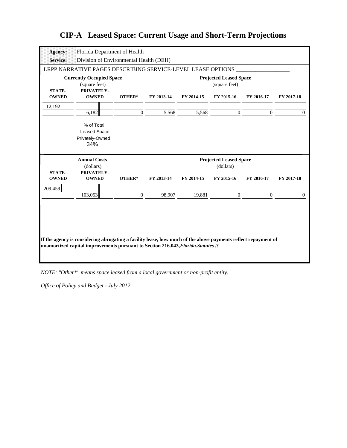| Agency:                       | Florida Department of Health                                |                |            |            |                                                |                |            |
|-------------------------------|-------------------------------------------------------------|----------------|------------|------------|------------------------------------------------|----------------|------------|
| <b>Service:</b>               | Division of Environmental Health (DEH)                      |                |            |            |                                                |                |            |
|                               | LRPP NARRATIVE PAGES DESCRIBING SERVICE-LEVEL LEASE OPTIONS |                |            |            |                                                |                |            |
|                               | <b>Currently Occupied Space</b><br>(square feet)            |                |            |            | <b>Projected Leased Space</b><br>(square feet) |                |            |
| <b>STATE-</b><br><b>OWNED</b> | PRIVATELY-<br><b>OWNED</b>                                  | OTHER*         | FY 2013-14 | FY 2014-15 | FY 2015-16                                     | FY 2016-17     | FY 2017-18 |
| 12,192                        |                                                             |                |            |            |                                                |                |            |
|                               | 6,182                                                       | $\overline{0}$ | 5,568      | 5,568      | $\Omega$                                       | $\overline{0}$ | $\Omega$   |
|                               | % of Total<br><b>Leased Space</b><br>Privately-Owned<br>34% |                |            |            |                                                |                |            |
|                               |                                                             |                |            |            |                                                |                |            |
| <b>STATE-</b>                 | <b>Annual Costs</b><br>(dollars)<br>PRIVATELY-              |                |            |            | <b>Projected Leased Space</b><br>(dollars)     |                |            |
| <b>OWNED</b>                  | <b>OWNED</b>                                                | OTHER*         | FY 2013-14 | FY 2014-15 | FY 2015-16                                     | FY 2016-17     | FY 2017-18 |
| 209,459                       | 103,053                                                     | $\mathbf{0}$   | 98,907     | 19,881     | $\mathbf{0}$                                   | $\Omega$       | $\Omega$   |

*NOTE: "Other\*" means space leased from a local government or non-profit entity.*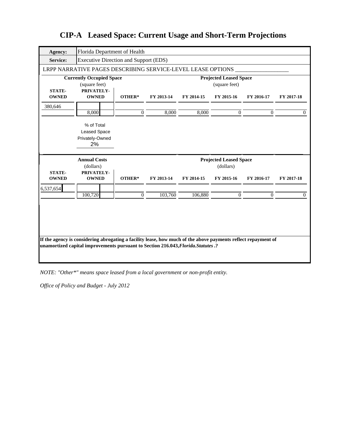| Agency:                       | Florida Department of Health                                |              |            |            |                                                |            |            |
|-------------------------------|-------------------------------------------------------------|--------------|------------|------------|------------------------------------------------|------------|------------|
| <b>Service:</b>               | <b>Executive Direction and Support (EDS)</b>                |              |            |            |                                                |            |            |
|                               | LRPP NARRATIVE PAGES DESCRIBING SERVICE-LEVEL LEASE OPTIONS |              |            |            |                                                |            |            |
|                               | <b>Currently Occupied Space</b><br>(square feet)            |              |            |            | <b>Projected Leased Space</b><br>(square feet) |            |            |
| <b>STATE-</b><br><b>OWNED</b> | PRIVATELY-<br><b>OWNED</b>                                  | OTHER*       | FY 2013-14 | FY 2014-15 | FY 2015-16                                     | FY 2016-17 | FY 2017-18 |
| 380,646                       |                                                             |              |            |            |                                                |            |            |
|                               | 8,000                                                       | $\mathbf{0}$ | 8,000      | 8,000      | $\Omega$                                       | $\Omega$   | $\Omega$   |
|                               | % of Total<br><b>Leased Space</b><br>Privately-Owned<br>2%  |              |            |            |                                                |            |            |
|                               | <b>Annual Costs</b>                                         |              |            |            | <b>Projected Leased Space</b><br>(dollars)     |            |            |
| <b>STATE-</b>                 | (dollars)<br>PRIVATELY-                                     |              |            |            |                                                |            |            |
| <b>OWNED</b>                  | <b>OWNED</b>                                                | OTHER*       | FY 2013-14 | FY 2014-15 | FY 2015-16                                     | FY 2016-17 | FY 2017-18 |
| 6,537,654                     | 100,720                                                     | $\Omega$     | 103,760    | 106,880    | $\mathbf{0}$                                   | $\Omega$   | $\Omega$   |

*NOTE: "Other\*" means space leased from a local government or non-profit entity.*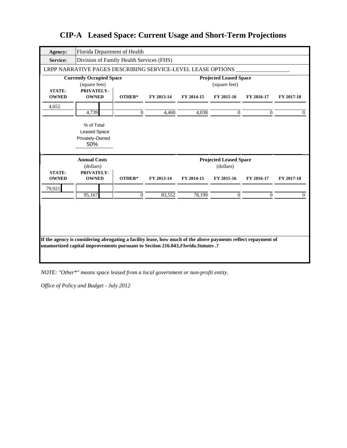| <b>Agency:</b>  | Florida Department of Health                                                                                                                                                                        |              |            |            |                               |                |            |
|-----------------|-----------------------------------------------------------------------------------------------------------------------------------------------------------------------------------------------------|--------------|------------|------------|-------------------------------|----------------|------------|
| <b>Service:</b> | Division of Family Health Services (FHS)                                                                                                                                                            |              |            |            |                               |                |            |
|                 | LRPP NARRATIVE PAGES DESCRIBING SERVICE-LEVEL LEASE OPTIONS                                                                                                                                         |              |            |            |                               |                |            |
|                 | <b>Currently Occupied Space</b>                                                                                                                                                                     |              |            |            | <b>Projected Leased Space</b> |                |            |
| <b>STATE-</b>   | (square feet)<br>PRIVATELY-                                                                                                                                                                         |              |            |            | (square feet)                 |                |            |
| <b>OWNED</b>    | <b>OWNED</b>                                                                                                                                                                                        | OTHER*       | FY 2013-14 | FY 2014-15 | FY 2015-16                    | FY 2016-17     | FY 2017-18 |
| 4,652           |                                                                                                                                                                                                     |              |            |            |                               |                |            |
|                 | 4,739                                                                                                                                                                                               | $\mathbf{0}$ | 4,460      | 4,038      | $\mathbf{0}$                  | $\overline{0}$ | $\Omega$   |
|                 | % of Total                                                                                                                                                                                          |              |            |            |                               |                |            |
|                 | <b>Leased Space</b>                                                                                                                                                                                 |              |            |            |                               |                |            |
|                 | Privately-Owned                                                                                                                                                                                     |              |            |            |                               |                |            |
|                 | 50%                                                                                                                                                                                                 |              |            |            |                               |                |            |
|                 |                                                                                                                                                                                                     |              |            |            | <b>Projected Leased Space</b> |                |            |
|                 |                                                                                                                                                                                                     |              |            |            |                               |                |            |
|                 | <b>Annual Costs</b>                                                                                                                                                                                 |              |            |            |                               |                |            |
| <b>STATE-</b>   | (dollars)<br>PRIVATELY-                                                                                                                                                                             |              |            |            | (dollars)                     |                |            |
| <b>OWNED</b>    | <b>OWNED</b>                                                                                                                                                                                        | OTHER*       | FY 2013-14 | FY 2014-15 | FY 2015-16                    | FY 2016-17     | FY 2017-18 |
| 79,921          |                                                                                                                                                                                                     |              |            |            |                               |                |            |
|                 | 95,167                                                                                                                                                                                              | $\Omega$     | 83,552     | 78,199     | $\Omega$                      | $\Omega$       | 0          |
|                 |                                                                                                                                                                                                     |              |            |            |                               |                |            |
|                 |                                                                                                                                                                                                     |              |            |            |                               |                |            |
|                 |                                                                                                                                                                                                     |              |            |            |                               |                |            |
|                 |                                                                                                                                                                                                     |              |            |            |                               |                |            |
|                 |                                                                                                                                                                                                     |              |            |            |                               |                |            |
|                 | If the agency is considering abrogating a facility lease, how much of the above payments reflect repayment of<br>unamortized capital improvements pursuant to Section 216.043, Florida. Statutes .? |              |            |            |                               |                |            |
|                 |                                                                                                                                                                                                     |              |            |            |                               |                |            |

*NOTE: "Other\*" means space leased from a local government or non-profit entity.*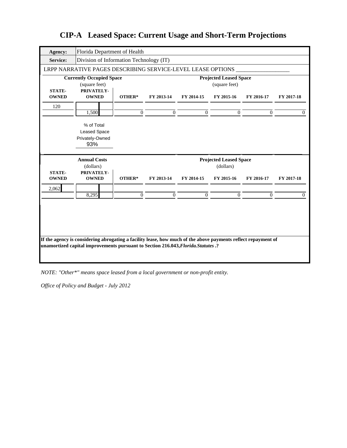| Agency:                       | Florida Department of Health                                |                |                |                |                               |                |            |
|-------------------------------|-------------------------------------------------------------|----------------|----------------|----------------|-------------------------------|----------------|------------|
| <b>Service:</b>               | Division of Information Technology (IT)                     |                |                |                |                               |                |            |
|                               | LRPP NARRATIVE PAGES DESCRIBING SERVICE-LEVEL LEASE OPTIONS |                |                |                |                               |                |            |
|                               | <b>Currently Occupied Space</b>                             |                |                |                | <b>Projected Leased Space</b> |                |            |
| <b>STATE-</b>                 | (square feet)<br>PRIVATELY-                                 |                |                |                | (square feet)                 |                |            |
| <b>OWNED</b>                  | <b>OWNED</b>                                                | OTHER*         | FY 2013-14     | FY 2014-15     | FY 2015-16                    | FY 2016-17     | FY 2017-18 |
| 120                           |                                                             |                |                |                |                               |                |            |
|                               | 1,500                                                       | $\overline{0}$ | $\overline{0}$ | $\overline{0}$ | $\mathbf{0}$                  | $\overline{0}$ | $\Omega$   |
|                               | % of Total                                                  |                |                |                |                               |                |            |
|                               | <b>Leased Space</b>                                         |                |                |                |                               |                |            |
|                               | Privately-Owned<br>93%                                      |                |                |                |                               |                |            |
|                               |                                                             |                |                |                |                               |                |            |
|                               |                                                             |                |                |                | <b>Projected Leased Space</b> |                |            |
|                               | <b>Annual Costs</b>                                         |                |                |                |                               |                |            |
|                               | (dollars)                                                   |                |                |                | (dollars)                     |                |            |
| <b>STATE-</b><br><b>OWNED</b> | PRIVATELY-<br><b>OWNED</b>                                  | OTHER*         | FY 2013-14     | FY 2014-15     | FY 2015-16                    | FY 2016-17     | FY 2017-18 |
| 2,062                         |                                                             |                |                |                |                               |                |            |
|                               | 8,295                                                       | $\mathbf{0}$   | $\overline{0}$ | $\overline{0}$ | $\Omega$                      | $\Omega$       | 0          |
|                               |                                                             |                |                |                |                               |                |            |
|                               |                                                             |                |                |                |                               |                |            |

*NOTE: "Other\*" means space leased from a local government or non-profit entity.*